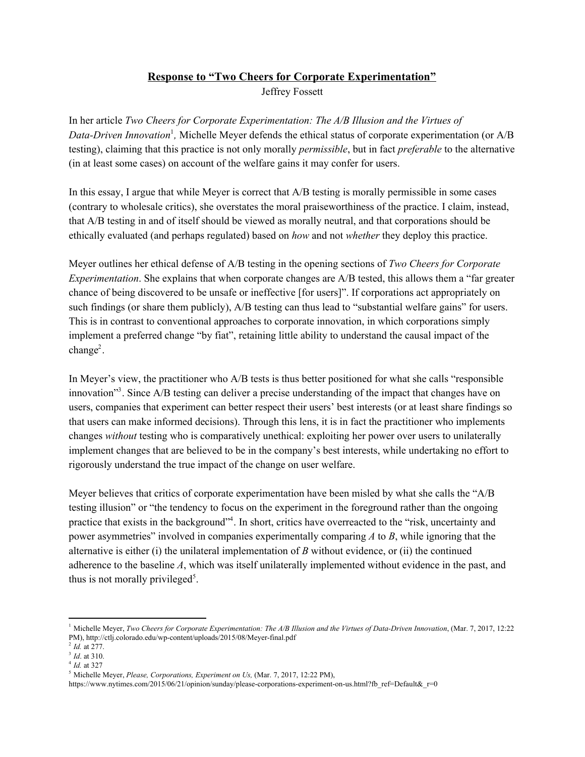## **Response to "Two Cheers for Corporate Experimentation"** Jeffrey Fossett

In her article *Two Cheers for Corporate Experimentation: The A/B Illusion and the Virtues of* Data-Driven Innovation<sup>1</sup>, Michelle Meyer defends the ethical status of corporate experimentation (or A/B testing), claiming that this practice is not only morally *permissible*, but in fact *preferable* to the alternative (in at least some cases) on account of the welfare gains it may confer for users.

In this essay, I argue that while Meyer is correct that A/B testing is morally permissible in some cases (contrary to wholesale critics), she overstates the moral praiseworthiness of the practice. I claim, instead, that A/B testing in and of itself should be viewed as morally neutral, and that corporations should be ethically evaluated (and perhaps regulated) based on *how* and not *whether* they deploy this practice.

Meyer outlines her ethical defense of A/B testing in the opening sections of *Two Cheers for Corporate Experimentation*. She explains that when corporate changes are A/B tested, this allows them a "far greater chance of being discovered to be unsafe or ineffective [for users]". If corporations act appropriately on such findings (or share them publicly), A/B testing can thus lead to "substantial welfare gains" for users. This is in contrast to conventional approaches to corporate innovation, in which corporations simply implement a preferred change "by fiat", retaining little ability to understand the causal impact of the  $change<sup>2</sup>$ .

In Meyer's view, the practitioner who A/B tests is thus better positioned for what she calls "responsible innovation"<sup>3</sup>. Since  $A/B$  testing can deliver a precise understanding of the impact that changes have on users, companies that experiment can better respect their users' best interests (or at least share findings so that users can make informed decisions). Through this lens, it is in fact the practitioner who implements changes *without* testing who is comparatively unethical: exploiting her power over users to unilaterally implement changes that are believed to be in the company's best interests, while undertaking no effort to rigorously understand the true impact of the change on user welfare.

Meyer believes that critics of corporate experimentation have been misled by what she calls the "A/B testing illusion" or "the tendency to focus on the experiment in the foreground rather than the ongoing practice that exists in the background"<sup>4</sup>. In short, critics have overreacted to the "risk, uncertainty and power asymmetries" involved in companies experimentally comparing *A* to *B*, while ignoring that the alternative is either (i) the unilateral implementation of *B* without evidence, or (ii) the continued adherence to the baseline *A*, which was itself unilaterally implemented without evidence in the past, and thus is not morally privileged<sup>5</sup>.

<sup>&</sup>lt;sup>1</sup> Michelle Meyer, *Two Cheers for Corporate Experimentation: The A/B Illusion and the Virtues of Data-Driven Innovation, (Mar. 7, 2017, 12:22* PM), http://ctlj.colorado.edu/wp-content/uploads/2015/08/Meyer-final.pdf

<sup>2</sup> *Id.* at 277.

<sup>3</sup> *Id*. at 310.

<sup>4</sup> *Id.* at 327

<sup>5</sup> Michelle Meyer, *Please, Corporations, Experiment on Us,* (Mar. 7, 2017, 12:22 PM),

https://www.nytimes.com/2015/06/21/opinion/sunday/please-corporations-experiment-on-us.html?fb\_ref=Default&\_r=0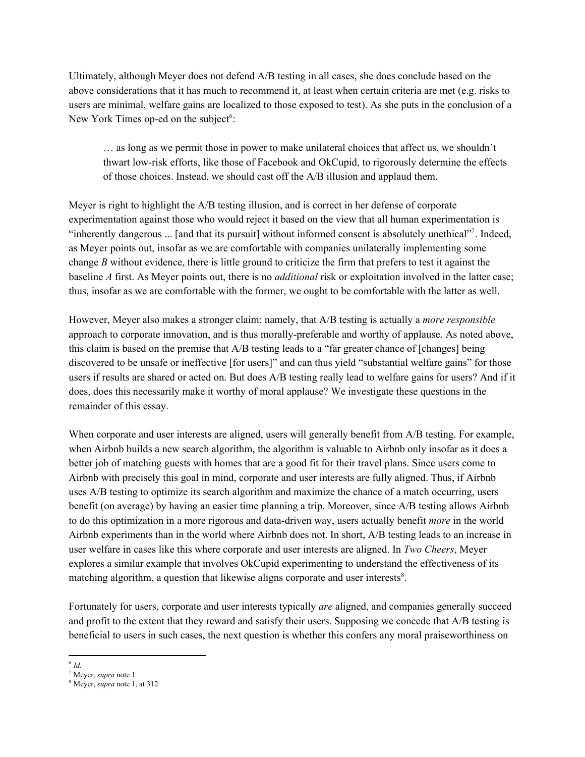Ultimately, although Meyer does not defend A/B testing in all cases, she does conclude based on the above considerations that it has much to recommend it, at least when certain criteria are met (e.g. risks to users are minimal, welfare gains are localized to those exposed to test). As she puts in the conclusion of a New York Times op-ed on the subject<sup>6</sup>:

… as long as we permit those in power to make unilateral choices that affect us, we shouldn't thwart low-risk efforts, like those of Facebook and OkCupid, to rigorously determine the effects of those choices. Instead, we should cast off the A/B illusion and applaud them.

Meyer is right to highlight the A/B testing illusion, and is correct in her defense of corporate experimentation against those who would reject it based on the view that all human experimentation is "inherently dangerous  $\ldots$  [and that its pursuit] without informed consent is absolutely unethical". Indeed, as Meyer points out, insofar as we are comfortable with companies unilaterally implementing some change *B* without evidence, there is little ground to criticize the firm that prefers to test it against the baseline *A* first. As Meyer points out, there is no *additional* risk or exploitation involved in the latter case; thus, insofar as we are comfortable with the former, we ought to be comfortable with the latter as well.

However, Meyer also makes a stronger claim: namely, that A/B testing is actually a *more responsible* approach to corporate innovation, and is thus morally-preferable and worthy of applause. As noted above, this claim is based on the premise that A/B testing leads to a "far greater chance of [changes] being discovered to be unsafe or ineffective [for users]" and can thus yield "substantial welfare gains" for those users if results are shared or acted on. But does A/B testing really lead to welfare gains for users? And if it does, does this necessarily make it worthy of moral applause? We investigate these questions in the remainder of this essay.

When corporate and user interests are aligned, users will generally benefit from A/B testing. For example, when Airbnb builds a new search algorithm, the algorithm is valuable to Airbnb only insofar as it does a better job of matching guests with homes that are a good fit for their travel plans. Since users come to Airbnb with precisely this goal in mind, corporate and user interests are fully aligned. Thus, if Airbnb uses A/B testing to optimize its search algorithm and maximize the chance of a match occurring, users benefit (on average) by having an easier time planning a trip. Moreover, since A/B testing allows Airbnb to do this optimization in a more rigorous and data-driven way, users actually benefit *more* in the world Airbnb experiments than in the world where Airbnb does not. In short, A/B testing leads to an increase in user welfare in cases like this where corporate and user interests are aligned. In *Two Cheers*, Meyer explores a similar example that involves OkCupid experimenting to understand the effectiveness of its matching algorithm, a question that likewise aligns corporate and user interests<sup>8</sup>.

Fortunately for users, corporate and user interests typically *are* aligned, and companies generally succeed and profit to the extent that they reward and satisfy their users. Supposing we concede that A/B testing is beneficial to users in such cases, the next question is whether this confers any moral praiseworthiness on

<sup>6</sup> *Id.*

<sup>7</sup> Meyer, *supra* note 1

<sup>8</sup> Meyer, *supra* note 1, at 312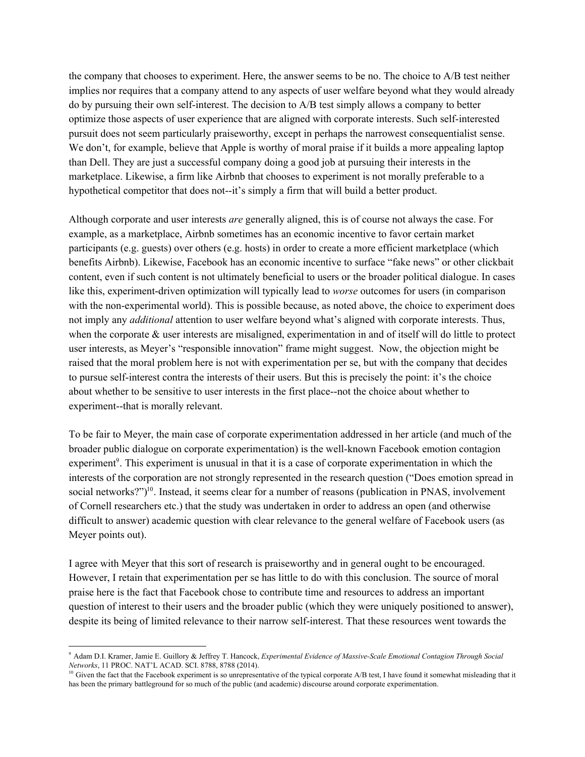the company that chooses to experiment. Here, the answer seems to be no. The choice to A/B test neither implies nor requires that a company attend to any aspects of user welfare beyond what they would already do by pursuing their own self-interest. The decision to A/B test simply allows a company to better optimize those aspects of user experience that are aligned with corporate interests. Such self-interested pursuit does not seem particularly praiseworthy, except in perhaps the narrowest consequentialist sense. We don't, for example, believe that Apple is worthy of moral praise if it builds a more appealing laptop than Dell. They are just a successful company doing a good job at pursuing their interests in the marketplace. Likewise, a firm like Airbnb that chooses to experiment is not morally preferable to a hypothetical competitor that does not--it's simply a firm that will build a better product.

Although corporate and user interests *are* generally aligned, this is of course not always the case. For example, as a marketplace, Airbnb sometimes has an economic incentive to favor certain market participants (e.g. guests) over others (e.g. hosts) in order to create a more efficient marketplace (which benefits Airbnb). Likewise, Facebook has an economic incentive to surface "fake news" or other clickbait content, even if such content is not ultimately beneficial to users or the broader political dialogue. In cases like this, experiment-driven optimization will typically lead to *worse* outcomes for users (in comparison with the non-experimental world). This is possible because, as noted above, the choice to experiment does not imply any *additional* attention to user welfare beyond what's aligned with corporate interests. Thus, when the corporate  $\&$  user interests are misaligned, experimentation in and of itself will do little to protect user interests, as Meyer's "responsible innovation" frame might suggest. Now, the objection might be raised that the moral problem here is not with experimentation per se, but with the company that decides to pursue self-interest contra the interests of their users. But this is precisely the point: it's the choice about whether to be sensitive to user interests in the first place--not the choice about whether to experiment--that is morally relevant.

To be fair to Meyer, the main case of corporate experimentation addressed in her article (and much of the broader public dialogue on corporate experimentation) is the well-known Facebook emotion contagion experiment<sup>9</sup>. This experiment is unusual in that it is a case of corporate experimentation in which the interests of the corporation are not strongly represented in the research question ("Does emotion spread in social networks?")<sup>10</sup>. Instead, it seems clear for a number of reasons (publication in PNAS, involvement of Cornell researchers etc.) that the study was undertaken in order to address an open (and otherwise difficult to answer) academic question with clear relevance to the general welfare of Facebook users (as Meyer points out).

I agree with Meyer that this sort of research is praiseworthy and in general ought to be encouraged. However, I retain that experimentation per se has little to do with this conclusion. The source of moral praise here is the fact that Facebook chose to contribute time and resources to address an important question of interest to their users and the broader public (which they were uniquely positioned to answer), despite its being of limited relevance to their narrow self-interest. That these resources went towards the

<sup>9</sup> Adam D.I. Kramer, Jamie E. Guillory & Jeffrey T. Hancock, *Experimental Evidence of Massive-Scale Emotional Contagion Through Social Networks*, 11 PROC. NAT'L ACAD. SCI. 8788, 8788 (2014).

 $10$  Given the fact that the Facebook experiment is so unrepresentative of the typical corporate A/B test, I have found it somewhat misleading that it has been the primary battleground for so much of the public (and academic) discourse around corporate experimentation.